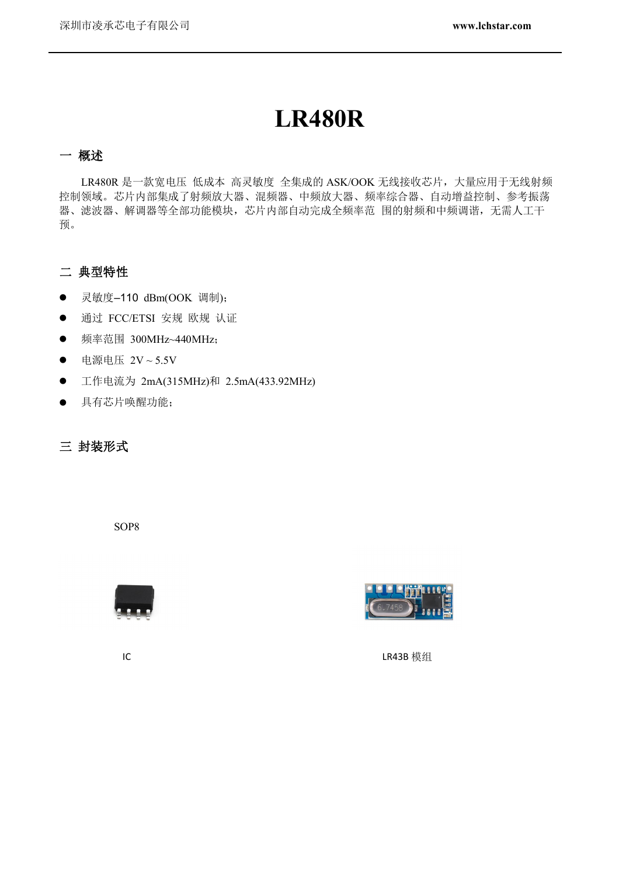# **LR480R**

#### 一 概述

LR480R 是一款宽电压 低成本 高灵敏度 全集成的 ASK/OOK 无线接收芯片, 大量应用于无线射频 控制领域。芯片内部集成了射频放大器、混频器、中频放大器、频率综合器、自动增益控制、参考振荡 器、滤波器、解调器等全部功能模块,芯片内部自动完成全频率范 围的射频和中频调谐,无需人工干 预。

#### 二 典型特性

- 灵敏度-110 dBm(OOK 调制);
- 通过 FCC/ETSI 安规 欧规 认证
- 频率范围 300MHz~440MHz;
- 电源电压 2V~5.5V
- 工作电流为 2mA(315MHz)和 2.5mA(433.92MHz)
- 具有芯片唤醒功能;

三 封装形式

SOP8





IC LR43B 模组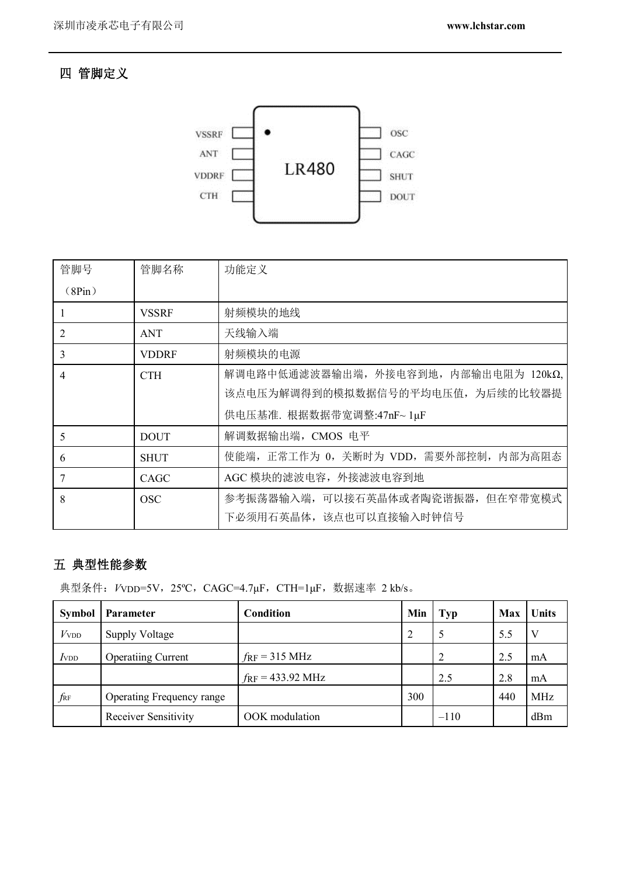#### 四 管脚定义



| 管脚号            | 管脚名称         | 功能定义                                   |
|----------------|--------------|----------------------------------------|
| (8Pin)         |              |                                        |
|                | <b>VSSRF</b> | 射频模块的地线                                |
| 2              | <b>ANT</b>   | 天线输入端                                  |
| 3              | <b>VDDRF</b> | 射频模块的电源                                |
| $\overline{4}$ | <b>CTH</b>   | 解调电路中低通滤波器输出端, 外接电容到地, 内部输出电阻为 120kΩ,  |
|                |              | 该点电压为解调得到的模拟数据信号的平均电压值, 为后续的比较器提       |
|                |              | 供电压基准. 根据数据带宽调整:47nF~ 1µF              |
| 5              | <b>DOUT</b>  | 解调数据输出端, CMOS 电平                       |
| 6              | <b>SHUT</b>  | 使能端, 正常工作为 0, 关断时为 VDD, 需要外部控制, 内部为高阻态 |
| 7              | CAGC         | AGC 模块的滤波电容, 外接滤波电容到地                  |
| 8              | <b>OSC</b>   | 参考振荡器输入端,可以接石英晶体或者陶瓷谐振器,但在窄带宽模式        |
|                |              | 下必须用石英晶体, 该点也可以直接输入时钟信号                |

### 五 典型性能参数

典型条件: VvDD=5V, 25°C, CAGC=4.7μF, CTH=1μF, 数据速率 2 kb/s。

| <b>Symbol</b>    | <b>Parameter</b>            | <b>Condition</b>                  | Min            | <b>Typ</b>     | Max | Units      |
|------------------|-----------------------------|-----------------------------------|----------------|----------------|-----|------------|
| V <sub>VDD</sub> | <b>Supply Voltage</b>       |                                   | $\overline{2}$ | 5              | 5.5 | V          |
| $I_{\text{VDD}}$ | <b>Operatiing Current</b>   | $f_{\rm RF}$ = 315 MHz            |                | $\overline{2}$ | 2.5 | mA         |
|                  |                             | $f_{\rm RF} = 433.92 \text{ MHz}$ |                | 2.5            | 2.8 | mA         |
| $f_{\rm RF}$     | Operating Frequency range   |                                   | 300            |                | 440 | <b>MHz</b> |
|                  | <b>Receiver Sensitivity</b> | OOK modulation                    |                | $-110$         |     | dBm        |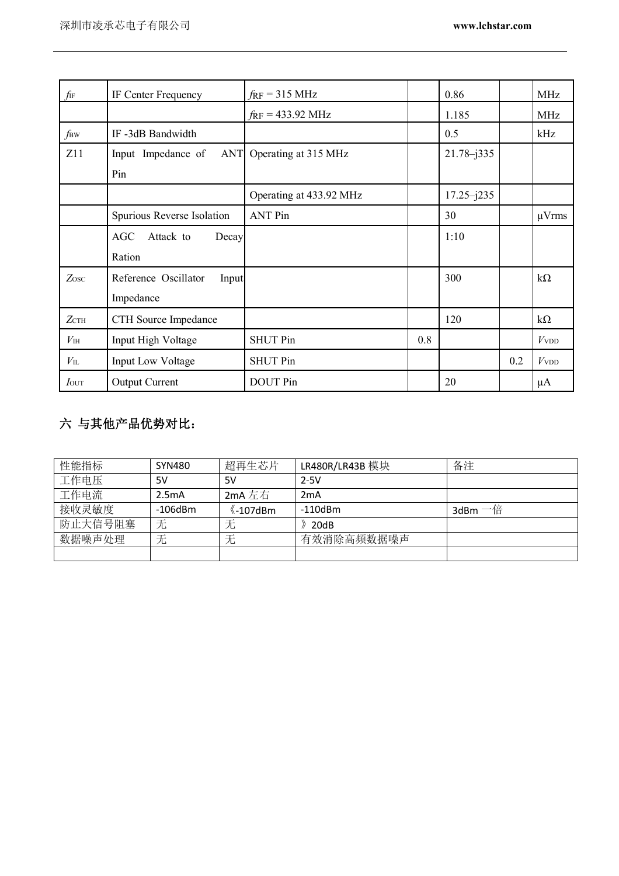| fif              | IF Center Frequency              | $f_{\rm RF}$ = 315 MHz            |     | 0.86           |     | <b>MHz</b>       |
|------------------|----------------------------------|-----------------------------------|-----|----------------|-----|------------------|
|                  |                                  | $f_{\rm RF} = 433.92 \text{ MHz}$ |     | 1.185          |     | MHz              |
| f <sub>BW</sub>  | IF-3dB Bandwidth                 |                                   |     | 0.5            |     | kHz              |
| Z11              | Input Impedance of<br><b>ANT</b> | Operating at 315 MHz              |     | $21.78 - j335$ |     |                  |
|                  | Pin                              |                                   |     |                |     |                  |
|                  |                                  | Operating at 433.92 MHz           |     | $17.25 - j235$ |     |                  |
|                  | Spurious Reverse Isolation       | <b>ANT Pin</b>                    |     | 30             |     | $\mu V$ rms      |
|                  | <b>AGC</b><br>Attack to<br>Decay |                                   |     | 1:10           |     |                  |
|                  | Ration                           |                                   |     |                |     |                  |
| Zosc             | Reference Oscillator<br>Input    |                                   |     | 300            |     | $k\Omega$        |
|                  | Impedance                        |                                   |     |                |     |                  |
| $Z$ CTH          | CTH Source Impedance             |                                   |     | 120            |     | $k\Omega$        |
| $V_{\rm IH}$     | Input High Voltage               | <b>SHUT Pin</b>                   | 0.8 |                |     | V <sub>VDD</sub> |
| $V_{\rm IL}$     | Input Low Voltage                | <b>SHUT Pin</b>                   |     |                | 0.2 | V <sub>VDD</sub> |
| $I_{\text{OUT}}$ | <b>Output Current</b>            | <b>DOUT</b> Pin                   |     | 20             |     | μA               |

## 六 与其他产品优势对比:

| 性能指标    | SYN480        | 超再生芯片                           | LR480R/LR43B 模块 | 备注      |
|---------|---------------|---------------------------------|-----------------|---------|
| 工作电压    | 5V            | 5V                              | $2-5V$          |         |
| 工作电流    | 2.5mA         | 2mA 左右                          | 2mA             |         |
| 接收灵敏度   | $-106$ d $Bm$ | $\langle  -107$ d $\mathsf{Bm}$ | $-110$ d $Bm$   | 3dBm 一倍 |
| 防止大信号阻塞 | 无             | 无                               | 20dB            |         |
| 数据噪声处理  | 尢             | 无                               | 有效消除高频数据噪声      |         |
|         |               |                                 |                 |         |